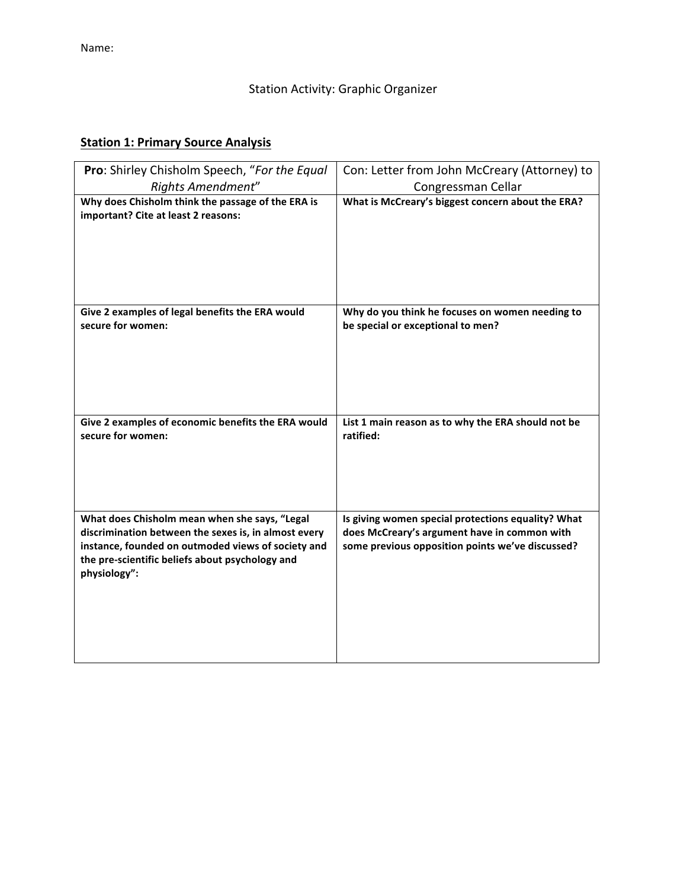# Station Activity: Graphic Organizer

# **Station 1: Primary Source Analysis**

| Pro: Shirley Chisholm Speech, "For the Equal                                                                                                                                                                                   | Con: Letter from John McCreary (Attorney) to                                                                                                           |
|--------------------------------------------------------------------------------------------------------------------------------------------------------------------------------------------------------------------------------|--------------------------------------------------------------------------------------------------------------------------------------------------------|
| Rights Amendment"                                                                                                                                                                                                              | Congressman Cellar                                                                                                                                     |
| Why does Chisholm think the passage of the ERA is<br>important? Cite at least 2 reasons:                                                                                                                                       | What is McCreary's biggest concern about the ERA?                                                                                                      |
| Give 2 examples of legal benefits the ERA would<br>secure for women:                                                                                                                                                           | Why do you think he focuses on women needing to<br>be special or exceptional to men?                                                                   |
| Give 2 examples of economic benefits the ERA would<br>secure for women:                                                                                                                                                        | List 1 main reason as to why the ERA should not be<br>ratified:                                                                                        |
| What does Chisholm mean when she says, "Legal<br>discrimination between the sexes is, in almost every<br>instance, founded on outmoded views of society and<br>the pre-scientific beliefs about psychology and<br>physiology": | Is giving women special protections equality? What<br>does McCreary's argument have in common with<br>some previous opposition points we've discussed? |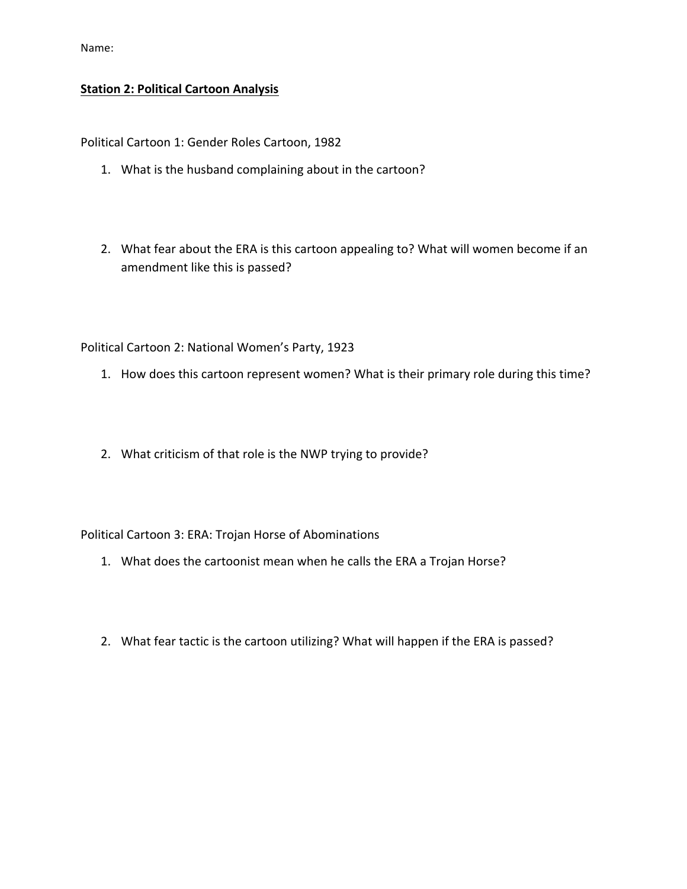Name:

#### **Station 2: Political Cartoon Analysis**

Political Cartoon 1: Gender Roles Cartoon, 1982

- 1. What is the husband complaining about in the cartoon?
- 2. What fear about the ERA is this cartoon appealing to? What will women become if an amendment like this is passed?

Political Cartoon 2: National Women's Party, 1923

- 1. How does this cartoon represent women? What is their primary role during this time?
- 2. What criticism of that role is the NWP trying to provide?

Political Cartoon 3: ERA: Trojan Horse of Abominations

- 1. What does the cartoonist mean when he calls the ERA a Trojan Horse?
- 2. What fear tactic is the cartoon utilizing? What will happen if the ERA is passed?